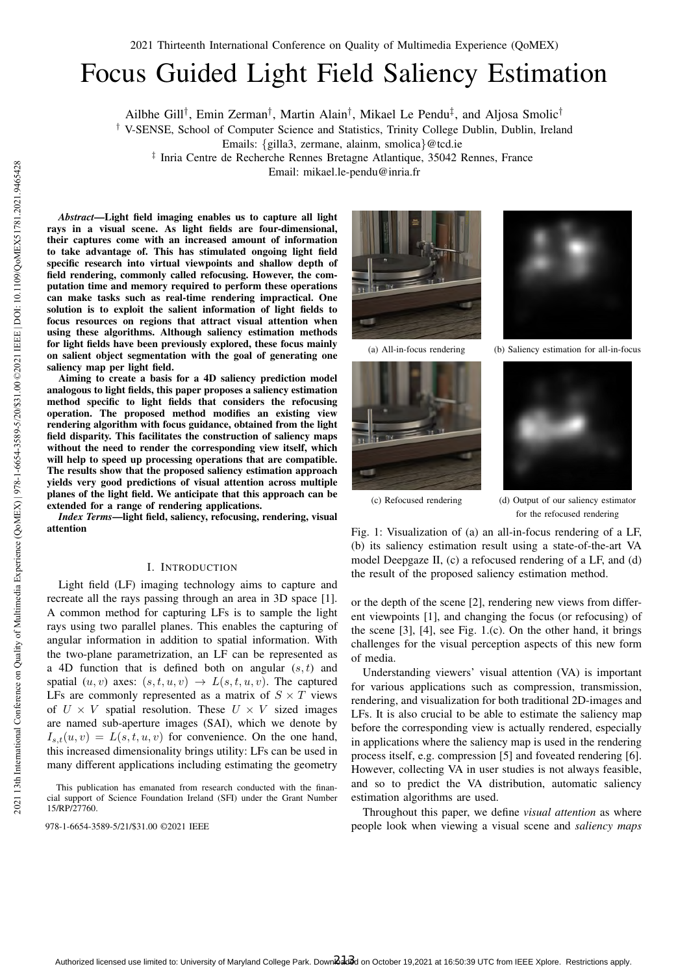# Focus Guided Light Field Saliency Estimation

Ailbhe Gill<sup>†</sup>, Emin Zerman<sup>†</sup>, Martin Alain<sup>†</sup>, Mikael Le Pendu<sup>‡</sup>, and Aljosa Smolic<sup>†</sup>

† V-SENSE, School of Computer Science and Statistics, Trinity College Dublin, Dublin, Ireland

Emails: {gilla3, zermane, alainm, smolica}@tcd.ie

‡ Inria Centre de Recherche Rennes Bretagne Atlantique, 35042 Rennes, France

Email: mikael.le-pendu@inria.fr

*Abstract*—Light field imaging enables us to capture all light rays in a visual scene. As light fields are four-dimensional, their captures come with an increased amount of information to take advantage of. This has stimulated ongoing light field specific research into virtual viewpoints and shallow depth of field rendering, commonly called refocusing. However, the computation time and memory required to perform these operations can make tasks such as real-time rendering impractical. One solution is to exploit the salient information of light fields to focus resources on regions that attract visual attention when using these algorithms. Although saliency estimation methods for light fields have been previously explored, these focus mainly on salient object segmentation with the goal of generating one saliency map per light field.

Aiming to create a basis for a 4D saliency prediction model analogous to light fields, this paper proposes a saliency estimation method specific to light fields that considers the refocusing operation. The proposed method modifies an existing view rendering algorithm with focus guidance, obtained from the light field disparity. This facilitates the construction of saliency maps without the need to render the corresponding view itself, which will help to speed up processing operations that are compatible. The results show that the proposed saliency estimation approach yields very good predictions of visual attention across multiple planes of the light field. We anticipate that this approach can be extended for a range of rendering applications.

*Index Terms*—light field, saliency, refocusing, rendering, visual attention

## I. INTRODUCTION

Light field (LF) imaging technology aims to capture and recreate all the rays passing through an area in 3D space [1]. A common method for capturing LFs is to sample the light rays using two parallel planes. This enables the capturing of angular information in addition to spatial information. With the two-plane parametrization, an LF can be represented as a 4D function that is defined both on angular  $(s, t)$  and spatial  $(u, v)$  axes:  $(s, t, u, v) \rightarrow L(s, t, u, v)$ . The captured LFs are commonly represented as a matrix of  $S \times T$  views of  $U \times V$  spatial resolution. These  $U \times V$  sized images are named sub-aperture images (SAI), which we denote by  $I_{s,t}(u, v) = L(s, t, u, v)$  for convenience. On the one hand, this increased dimensionality brings utility: LFs can be used in many different applications including estimating the geometry







(a) All-in-focus rendering (b) Saliency estimation for all-in-focus



(c) Refocused rendering (d) Output of our saliency estimator for the refocused rendering

Fig. 1: Visualization of (a) an all-in-focus rendering of a LF, (b) its saliency estimation result using a state-of-the-art VA model Deepgaze II, (c) a refocused rendering of a LF, and (d) the result of the proposed saliency estimation method.

or the depth of the scene [2], rendering new views from different viewpoints [1], and changing the focus (or refocusing) of the scene  $[3]$ ,  $[4]$ , see Fig. 1.(c). On the other hand, it brings challenges for the visual perception aspects of this new form of media.

Understanding viewers' visual attention (VA) is important for various applications such as compression, transmission, rendering, and visualization for both traditional 2D-images and LFs. It is also crucial to be able to estimate the saliency map before the corresponding view is actually rendered, especially in applications where the saliency map is used in the rendering process itself, e.g. compression [5] and foveated rendering [6]. However, collecting VA in user studies is not always feasible, and so to predict the VA distribution, automatic saliency estimation algorithms are used.

Throughout this paper, we define *visual attention* as where 978-1-6654-3589-5/21/\$31.00 ©2021 IEEE people look when viewing a visual scene and *saliency maps*

This publication has emanated from research conducted with the financial support of Science Foundation Ireland (SFI) under the Grant Number 15/RP/27760.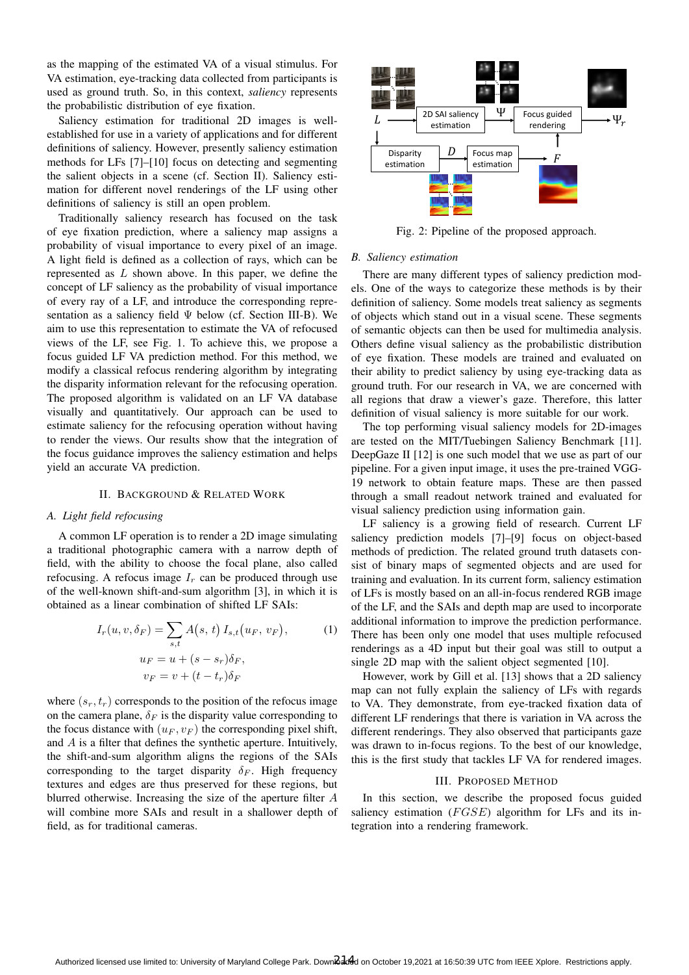as the mapping of the estimated VA of a visual stimulus. For VA estimation, eye-tracking data collected from participants is used as ground truth. So, in this context, *saliency* represents the probabilistic distribution of eye fixation.

Saliency estimation for traditional 2D images is wellestablished for use in a variety of applications and for different definitions of saliency. However, presently saliency estimation methods for LFs [7]–[10] focus on detecting and segmenting the salient objects in a scene (cf. Section II). Saliency estimation for different novel renderings of the LF using other definitions of saliency is still an open problem.

Traditionally saliency research has focused on the task of eye fixation prediction, where a saliency map assigns a probability of visual importance to every pixel of an image. A light field is defined as a collection of rays, which can be represented as L shown above. In this paper, we define the concept of LF saliency as the probability of visual importance of every ray of a LF, and introduce the corresponding representation as a saliency field  $\Psi$  below (cf. Section III-B). We aim to use this representation to estimate the VA of refocused views of the LF, see Fig. 1. To achieve this, we propose a focus guided LF VA prediction method. For this method, we modify a classical refocus rendering algorithm by integrating the disparity information relevant for the refocusing operation. The proposed algorithm is validated on an LF VA database visually and quantitatively. Our approach can be used to estimate saliency for the refocusing operation without having to render the views. Our results show that the integration of the focus guidance improves the saliency estimation and helps yield an accurate VA prediction.

## II. BACKGROUND & RELATED WORK

## *A. Light field refocusing*

A common LF operation is to render a 2D image simulating a traditional photographic camera with a narrow depth of field, with the ability to choose the focal plane, also called refocusing. A refocus image  $I_r$  can be produced through use of the well-known shift-and-sum algorithm [3], in which it is obtained as a linear combination of shifted LF SAIs:

$$
I_r(u, v, \delta_F) = \sum_{s,t} A(s, t) I_{s,t}(u_F, v_F),
$$
  
\n
$$
u_F = u + (s - s_r)\delta_F,
$$
  
\n
$$
v_F = v + (t - t_r)\delta_F
$$
 (1)

where  $(s_r, t_r)$  corresponds to the position of the refocus image on the camera plane,  $\delta_F$  is the disparity value corresponding to the focus distance with  $(u_F, v_F)$  the corresponding pixel shift, and A is a filter that defines the synthetic aperture. Intuitively, the shift-and-sum algorithm aligns the regions of the SAIs corresponding to the target disparity  $\delta_F$ . High frequency textures and edges are thus preserved for these regions, but blurred otherwise. Increasing the size of the aperture filter A will combine more SAIs and result in a shallower depth of field, as for traditional cameras.



Fig. 2: Pipeline of the proposed approach.

# *B. Saliency estimation*

There are many different types of saliency prediction models. One of the ways to categorize these methods is by their definition of saliency. Some models treat saliency as segments of objects which stand out in a visual scene. These segments of semantic objects can then be used for multimedia analysis. Others define visual saliency as the probabilistic distribution of eye fixation. These models are trained and evaluated on their ability to predict saliency by using eye-tracking data as ground truth. For our research in VA, we are concerned with all regions that draw a viewer's gaze. Therefore, this latter definition of visual saliency is more suitable for our work.

The top performing visual saliency models for 2D-images are tested on the MIT/Tuebingen Saliency Benchmark [11]. DeepGaze II [12] is one such model that we use as part of our pipeline. For a given input image, it uses the pre-trained VGG-19 network to obtain feature maps. These are then passed through a small readout network trained and evaluated for visual saliency prediction using information gain.

LF saliency is a growing field of research. Current LF saliency prediction models [7]–[9] focus on object-based methods of prediction. The related ground truth datasets consist of binary maps of segmented objects and are used for training and evaluation. In its current form, saliency estimation of LFs is mostly based on an all-in-focus rendered RGB image of the LF, and the SAIs and depth map are used to incorporate additional information to improve the prediction performance. There has been only one model that uses multiple refocused renderings as a 4D input but their goal was still to output a single 2D map with the salient object segmented [10].

However, work by Gill et al. [13] shows that a 2D saliency map can not fully explain the saliency of LFs with regards to VA. They demonstrate, from eye-tracked fixation data of different LF renderings that there is variation in VA across the different renderings. They also observed that participants gaze was drawn to in-focus regions. To the best of our knowledge, this is the first study that tackles LF VA for rendered images.

### III. PROPOSED METHOD

In this section, we describe the proposed focus guided saliency estimation  $(FGSE)$  algorithm for LFs and its integration into a rendering framework.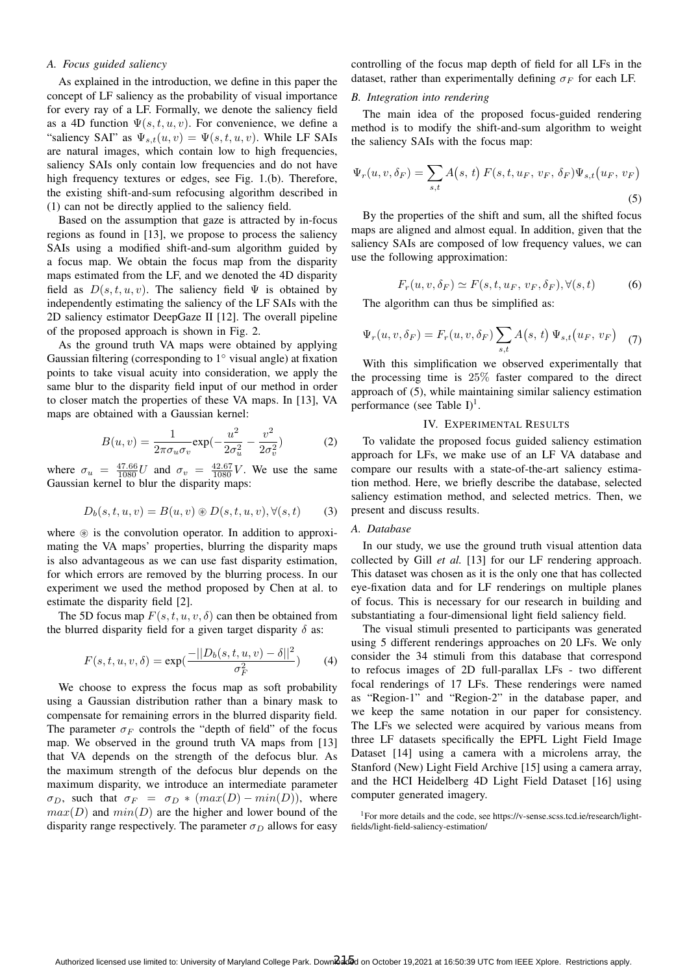## *A. Focus guided saliency*

As explained in the introduction, we define in this paper the concept of LF saliency as the probability of visual importance for every ray of a LF. Formally, we denote the saliency field as a 4D function  $\Psi(s, t, u, v)$ . For convenience, we define a "saliency SAI" as  $\Psi_{s,t}(u, v) = \Psi(s, t, u, v)$ . While LF SAIs are natural images, which contain low to high frequencies, saliency SAIs only contain low frequencies and do not have high frequency textures or edges, see Fig. 1.(b). Therefore, the existing shift-and-sum refocusing algorithm described in (1) can not be directly applied to the saliency field.

Based on the assumption that gaze is attracted by in-focus regions as found in [13], we propose to process the saliency SAIs using a modified shift-and-sum algorithm guided by a focus map. We obtain the focus map from the disparity maps estimated from the LF, and we denoted the 4D disparity field as  $D(s, t, u, v)$ . The saliency field  $\Psi$  is obtained by independently estimating the saliency of the LF SAIs with the 2D saliency estimator DeepGaze II [12]. The overall pipeline of the proposed approach is shown in Fig. 2.

As the ground truth VA maps were obtained by applying Gaussian filtering (corresponding to  $1°$  visual angle) at fixation points to take visual acuity into consideration, we apply the same blur to the disparity field input of our method in order to closer match the properties of these VA maps. In [13], VA maps are obtained with a Gaussian kernel:

$$
B(u,v) = \frac{1}{2\pi\sigma_u\sigma_v} \exp(-\frac{u^2}{2\sigma_u^2} - \frac{v^2}{2\sigma_v^2})
$$
 (2)

where  $\sigma_u = \frac{47.66}{1080}U$  and  $\sigma_v = \frac{42.67}{1080}V$ . We use the same Gaussian kernel to blur the disparity maps:

$$
D_b(s,t,u,v) = B(u,v) \circledast D(s,t,u,v), \forall (s,t) \qquad (3)
$$

where  $\circledast$  is the convolution operator. In addition to approximating the VA maps' properties, blurring the disparity maps is also advantageous as we can use fast disparity estimation, for which errors are removed by the blurring process. In our experiment we used the method proposed by Chen at al. to estimate the disparity field [2].

The 5D focus map  $F(s, t, u, v, \delta)$  can then be obtained from the blurred disparity field for a given target disparity  $\delta$  as:

$$
F(s, t, u, v, \delta) = \exp(\frac{-||D_b(s, t, u, v) - \delta||^2}{\sigma_F^2})
$$
 (4)

We choose to express the focus map as soft probability using a Gaussian distribution rather than a binary mask to compensate for remaining errors in the blurred disparity field. The parameter  $\sigma_F$  controls the "depth of field" of the focus map. We observed in the ground truth VA maps from [13] that VA depends on the strength of the defocus blur. As the maximum strength of the defocus blur depends on the maximum disparity, we introduce an intermediate parameter  $\sigma_D$ , such that  $\sigma_F = \sigma_D * (max(D) - min(D))$ , where  $max(D)$  and  $min(D)$  are the higher and lower bound of the disparity range respectively. The parameter  $\sigma_D$  allows for easy

controlling of the focus map depth of field for all LFs in the dataset, rather than experimentally defining  $\sigma_F$  for each LF.

# *B. Integration into rendering*

The main idea of the proposed focus-guided rendering method is to modify the shift-and-sum algorithm to weight the saliency SAIs with the focus map:

$$
\Psi_r(u, v, \delta_F) = \sum_{s,t} A(s, t) F(s, t, u_F, v_F, \delta_F) \Psi_{s,t}(u_F, v_F)
$$
\n(5)

By the properties of the shift and sum, all the shifted focus maps are aligned and almost equal. In addition, given that the saliency SAIs are composed of low frequency values, we can use the following approximation:

$$
F_r(u, v, \delta_F) \simeq F(s, t, u_F, v_F, \delta_F), \forall (s, t)
$$
 (6)

The algorithm can thus be simplified as:

$$
\Psi_r(u, v, \delta_F) = F_r(u, v, \delta_F) \sum_{s,t} A(s, t) \Psi_{s,t}(u_F, v_F) \quad (7)
$$

With this simplification we observed experimentally that the processing time is 25% faster compared to the direct approach of (5), while maintaining similar saliency estimation performance (see Table  $I$ )<sup>1</sup>.

# IV. EXPERIMENTAL RESULTS

To validate the proposed focus guided saliency estimation approach for LFs, we make use of an LF VA database and compare our results with a state-of-the-art saliency estimation method. Here, we briefly describe the database, selected saliency estimation method, and selected metrics. Then, we present and discuss results.

# *A. Database*

In our study, we use the ground truth visual attention data collected by Gill *et al.* [13] for our LF rendering approach. This dataset was chosen as it is the only one that has collected eye-fixation data and for LF renderings on multiple planes of focus. This is necessary for our research in building and substantiating a four-dimensional light field saliency field.

The visual stimuli presented to participants was generated using 5 different renderings approaches on 20 LFs. We only consider the 34 stimuli from this database that correspond to refocus images of 2D full-parallax LFs - two different focal renderings of 17 LFs. These renderings were named as "Region-1" and "Region-2" in the database paper, and we keep the same notation in our paper for consistency. The LFs we selected were acquired by various means from three LF datasets specifically the EPFL Light Field Image Dataset [14] using a camera with a microlens array, the Stanford (New) Light Field Archive [15] using a camera array, and the HCI Heidelberg 4D Light Field Dataset [16] using computer generated imagery.

<sup>1</sup>For more details and the code, see https://v-sense.scss.tcd.ie/research/lightfields/light-field-saliency-estimation/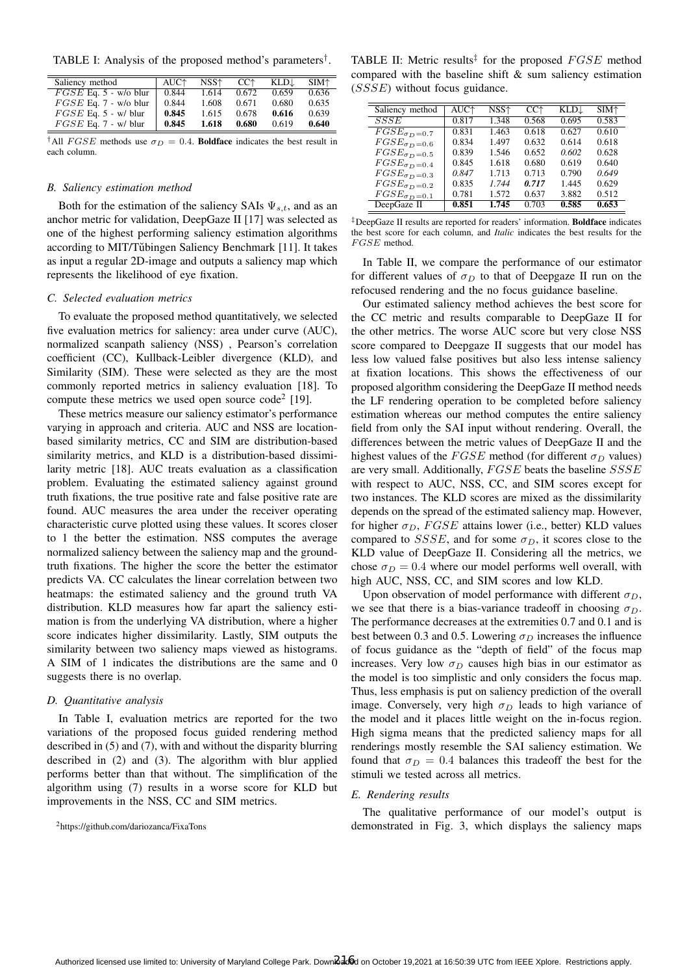TABLE I: Analysis of the proposed method's parameters† .

| Saliency method         | AUC <sup><math>\uparrow</math></sup> | NSS^  | CC <sup>+</sup> | KLD.  | $SIM+$ |
|-------------------------|--------------------------------------|-------|-----------------|-------|--------|
| $FGSE$ Eq. 5 - w/o blur | 0.844                                | 1.614 | 0.672           | 0.659 | 0.636  |
| $FGSE$ Eq. 7 - w/o blur | 0.844                                | 1.608 | 0.671           | 0.680 | 0.635  |
| $FGSE$ Eq. 5 - w/ blur  | 0.845                                | 1.615 | 0.678           | 0.616 | 0.639  |
| $FGSE$ Eq. 7 - w/ blur  | 0.845                                | 1.618 | 0.680           | 0.619 | 0.640  |

<sup>†</sup>All *FGSE* methods use  $\sigma_D = 0.4$ . **Boldface** indicates the best result in each column.

### *B. Saliency estimation method*

Both for the estimation of the saliency SAIs  $\Psi_{s,t}$ , and as an anchor metric for validation, DeepGaze II [17] was selected as one of the highest performing saliency estimation algorithms according to MIT/Tŭbingen Saliency Benchmark [11]. It takes as input a regular 2D-image and outputs a saliency map which represents the likelihood of eye fixation.

# *C. Selected evaluation metrics*

To evaluate the proposed method quantitatively, we selected five evaluation metrics for saliency: area under curve (AUC), normalized scanpath saliency (NSS) , Pearson's correlation coefficient (CC), Kullback-Leibler divergence (KLD), and Similarity (SIM). These were selected as they are the most commonly reported metrics in saliency evaluation [18]. To compute these metrics we used open source  $\text{code}^2$  [19].

These metrics measure our saliency estimator's performance varying in approach and criteria. AUC and NSS are locationbased similarity metrics, CC and SIM are distribution-based similarity metrics, and KLD is a distribution-based dissimilarity metric [18]. AUC treats evaluation as a classification problem. Evaluating the estimated saliency against ground truth fixations, the true positive rate and false positive rate are found. AUC measures the area under the receiver operating characteristic curve plotted using these values. It scores closer to 1 the better the estimation. NSS computes the average normalized saliency between the saliency map and the groundtruth fixations. The higher the score the better the estimator predicts VA. CC calculates the linear correlation between two heatmaps: the estimated saliency and the ground truth VA distribution. KLD measures how far apart the saliency estimation is from the underlying VA distribution, where a higher score indicates higher dissimilarity. Lastly, SIM outputs the similarity between two saliency maps viewed as histograms. A SIM of 1 indicates the distributions are the same and 0 suggests there is no overlap.

## *D. Quantitative analysis*

In Table I, evaluation metrics are reported for the two variations of the proposed focus guided rendering method described in (5) and (7), with and without the disparity blurring described in (2) and (3). The algorithm with blur applied performs better than that without. The simplification of the algorithm using (7) results in a worse score for KLD but improvements in the NSS, CC and SIM metrics.

TABLE II: Metric results<sup>‡</sup> for the proposed  $FGSE$  method compared with the baseline shift & sum saliency estimation (SSSE) without focus guidance.

| Saliency method                    | AUC <sup>+</sup> | NSS↑  | $CC+$ | KLD↓  | SIM <sup>+</sup> |
|------------------------------------|------------------|-------|-------|-------|------------------|
| SSSE                               | 0.817            | 1.348 | 0.568 | 0.695 | 0.583            |
| $\overline{FGSE_{\sigma}}_{D}=0.7$ | 0.831            | 1.463 | 0.618 | 0.627 | 0.610            |
| $FGSE_{\sigma D} = 0.6$            | 0.834            | 1.497 | 0.632 | 0.614 | 0.618            |
| $FGSE_{\sigma_D=0.5}$              | 0.839            | 1.546 | 0.652 | 0.602 | 0.628            |
| $FGSE_{\sigma_D=0.4}$              | 0.845            | 1.618 | 0.680 | 0.619 | 0.640            |
| $FGSE_{\sigma D}=0.3$              | 0.847            | 1.713 | 0.713 | 0.790 | 0.649            |
| $FGSE_{\sigma D}=0.2$              | 0.835            | 1.744 | 0.717 | 1.445 | 0.629            |
| $FGSE_{\sigma_D=0.1}$              | 0.781            | 1.572 | 0.637 | 3.882 | 0.512            |
| DeepGaze II                        | 0.851            | 1.745 | 0.703 | 0.585 | 0.653            |

<sup>‡</sup>DeepGaze II results are reported for readers' information. Boldface indicates the best score for each column, and *Italic* indicates the best results for the  $FGSE$  method.

In Table II, we compare the performance of our estimator for different values of  $\sigma_D$  to that of Deepgaze II run on the refocused rendering and the no focus guidance baseline.

Our estimated saliency method achieves the best score for the CC metric and results comparable to DeepGaze II for the other metrics. The worse AUC score but very close NSS score compared to Deepgaze II suggests that our model has less low valued false positives but also less intense saliency at fixation locations. This shows the effectiveness of our proposed algorithm considering the DeepGaze II method needs the LF rendering operation to be completed before saliency estimation whereas our method computes the entire saliency field from only the SAI input without rendering. Overall, the differences between the metric values of DeepGaze II and the highest values of the  $FGSE$  method (for different  $\sigma_D$  values) are very small. Additionally, FGSE beats the baseline SSSE with respect to AUC, NSS, CC, and SIM scores except for two instances. The KLD scores are mixed as the dissimilarity depends on the spread of the estimated saliency map. However, for higher  $\sigma_D$ , FGSE attains lower (i.e., better) KLD values compared to *SSSE*, and for some  $\sigma_D$ , it scores close to the KLD value of DeepGaze II. Considering all the metrics, we chose  $\sigma_D = 0.4$  where our model performs well overall, with high AUC, NSS, CC, and SIM scores and low KLD.

Upon observation of model performance with different  $\sigma_D$ , we see that there is a bias-variance tradeoff in choosing  $\sigma_D$ . The performance decreases at the extremities 0.7 and 0.1 and is best between 0.3 and 0.5. Lowering  $\sigma_D$  increases the influence of focus guidance as the "depth of field" of the focus map increases. Very low  $\sigma_D$  causes high bias in our estimator as the model is too simplistic and only considers the focus map. Thus, less emphasis is put on saliency prediction of the overall image. Conversely, very high  $\sigma_D$  leads to high variance of the model and it places little weight on the in-focus region. High sigma means that the predicted saliency maps for all renderings mostly resemble the SAI saliency estimation. We found that  $\sigma_D = 0.4$  balances this tradeoff the best for the stimuli we tested across all metrics.

### *E. Rendering results*

The qualitative performance of our model's output is demonstrated in Fig. 3, which displays the saliency maps

<sup>2</sup>https://github.com/dariozanca/FixaTons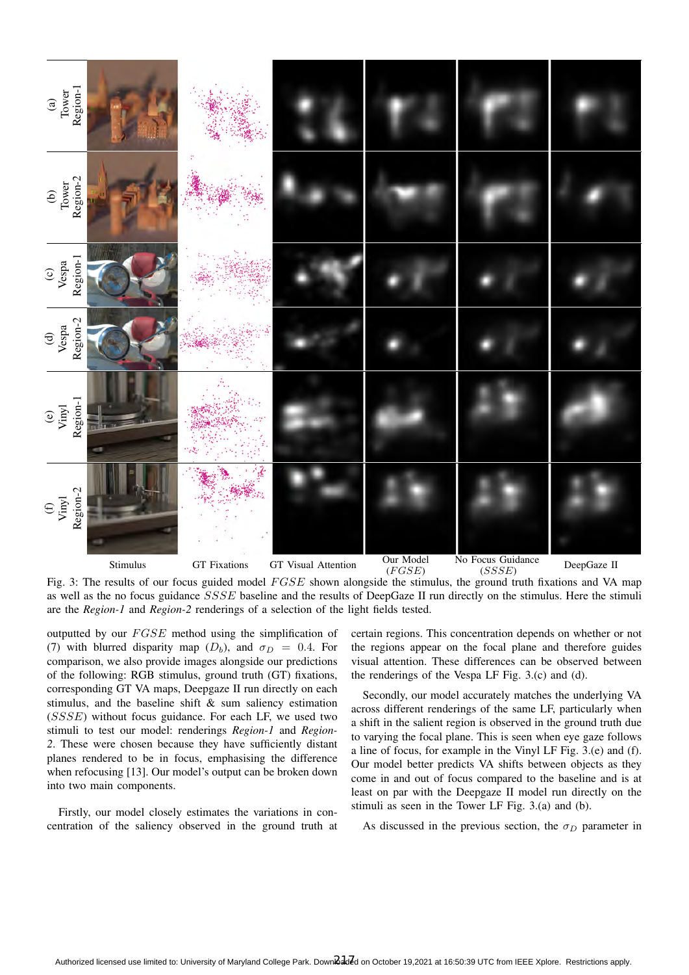

 $(FGSE)$  $(SSSE)$ Fig. 3: The results of our focus guided model  $FGSE$  shown alongside the stimulus, the ground truth fixations and VA map as well as the no focus guidance SSSE baseline and the results of DeepGaze II run directly on the stimulus. Here the stimuli are the *Region-1* and *Region-2* renderings of a selection of the light fields tested.

outputted by our  $FGSE$  method using the simplification of (7) with blurred disparity map ( $D_b$ ), and  $\sigma_D = 0.4$ . For comparison, we also provide images alongside our predictions of the following: RGB stimulus, ground truth (GT) fixations, corresponding GT VA maps, Deepgaze II run directly on each stimulus, and the baseline shift & sum saliency estimation (SSSE) without focus guidance. For each LF, we used two stimuli to test our model: renderings *Region-1* and *Region-2*. These were chosen because they have sufficiently distant planes rendered to be in focus, emphasising the difference when refocusing [13]. Our model's output can be broken down into two main components.

Firstly, our model closely estimates the variations in concentration of the saliency observed in the ground truth at

certain regions. This concentration depends on whether or not the regions appear on the focal plane and therefore guides visual attention. These differences can be observed between the renderings of the Vespa LF Fig. 3.(c) and (d).

Secondly, our model accurately matches the underlying VA across different renderings of the same LF, particularly when a shift in the salient region is observed in the ground truth due to varying the focal plane. This is seen when eye gaze follows a line of focus, for example in the Vinyl LF Fig. 3.(e) and (f). Our model better predicts VA shifts between objects as they come in and out of focus compared to the baseline and is at least on par with the Deepgaze II model run directly on the stimuli as seen in the Tower LF Fig. 3.(a) and (b).

As discussed in the previous section, the  $\sigma_D$  parameter in